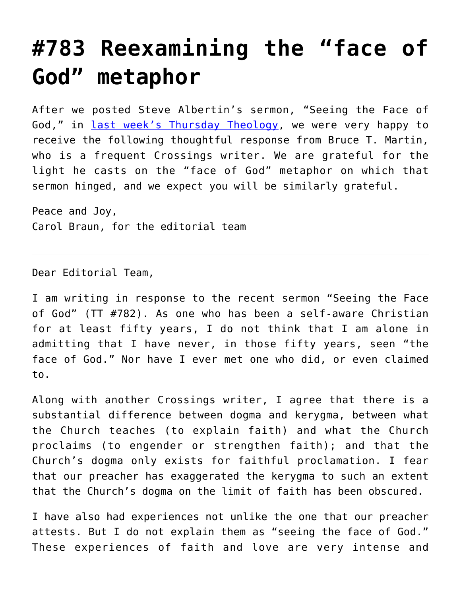## **[#783 Reexamining the "face of](https://crossings.org/783-reexamining-the-face-of-god-metaphor/) [God" metaphor](https://crossings.org/783-reexamining-the-face-of-god-metaphor/)**

After we posted Steve Albertin's sermon, "Seeing the Face of God," in [last week's Thursday Theology,](https://crossings.org/thursday/2013/thur060613.shtml) we were very happy to receive the following thoughtful response from Bruce T. Martin, who is a frequent Crossings writer. We are grateful for the light he casts on the "face of God" metaphor on which that sermon hinged, and we expect you will be similarly grateful.

Peace and Joy, Carol Braun, for the editorial team

Dear Editorial Team,

I am writing in response to the recent sermon "Seeing the Face of God" (TT #782). As one who has been a self-aware Christian for at least fifty years, I do not think that I am alone in admitting that I have never, in those fifty years, seen "the face of God." Nor have I ever met one who did, or even claimed to.

Along with another Crossings writer, I agree that there is a substantial difference between dogma and kerygma, between what the Church teaches (to explain faith) and what the Church proclaims (to engender or strengthen faith); and that the Church's dogma only exists for faithful proclamation. I fear that our preacher has exaggerated the kerygma to such an extent that the Church's dogma on the limit of faith has been obscured.

I have also had experiences not unlike the one that our preacher attests. But I do not explain them as "seeing the face of God." These experiences of faith and love are very intense and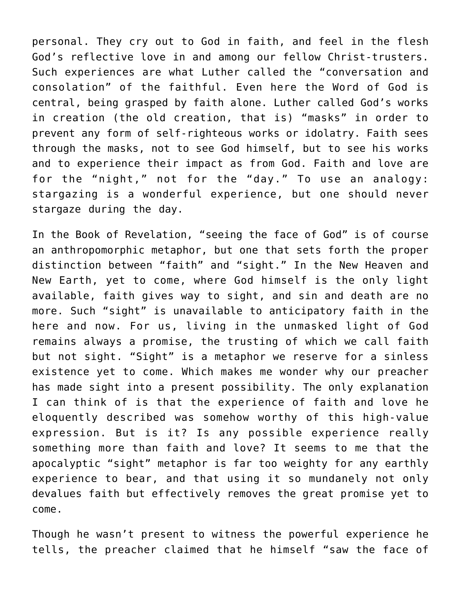personal. They cry out to God in faith, and feel in the flesh God's reflective love in and among our fellow Christ-trusters. Such experiences are what Luther called the "conversation and consolation" of the faithful. Even here the Word of God is central, being grasped by faith alone. Luther called God's works in creation (the old creation, that is) "masks" in order to prevent any form of self-righteous works or idolatry. Faith sees through the masks, not to see God himself, but to see his works and to experience their impact as from God. Faith and love are for the "night," not for the "day." To use an analogy: stargazing is a wonderful experience, but one should never stargaze during the day.

In the Book of Revelation, "seeing the face of God" is of course an anthropomorphic metaphor, but one that sets forth the proper distinction between "faith" and "sight." In the New Heaven and New Earth, yet to come, where God himself is the only light available, faith gives way to sight, and sin and death are no more. Such "sight" is unavailable to anticipatory faith in the here and now. For us, living in the unmasked light of God remains always a promise, the trusting of which we call faith but not sight. "Sight" is a metaphor we reserve for a sinless existence yet to come. Which makes me wonder why our preacher has made sight into a present possibility. The only explanation I can think of is that the experience of faith and love he eloquently described was somehow worthy of this high-value expression. But is it? Is any possible experience really something more than faith and love? It seems to me that the apocalyptic "sight" metaphor is far too weighty for any earthly experience to bear, and that using it so mundanely not only devalues faith but effectively removes the great promise yet to come.

Though he wasn't present to witness the powerful experience he tells, the preacher claimed that he himself "saw the face of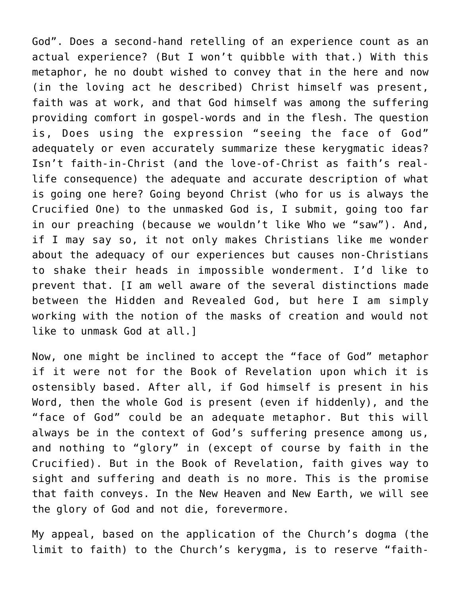God". Does a second-hand retelling of an experience count as an actual experience? (But I won't quibble with that.) With this metaphor, he no doubt wished to convey that in the here and now (in the loving act he described) Christ himself was present, faith was at work, and that God himself was among the suffering providing comfort in gospel-words and in the flesh. The question is, Does using the expression "seeing the face of God" adequately or even accurately summarize these kerygmatic ideas? Isn't faith-in-Christ (and the love-of-Christ as faith's reallife consequence) the adequate and accurate description of what is going one here? Going beyond Christ (who for us is always the Crucified One) to the unmasked God is, I submit, going too far in our preaching (because we wouldn't like Who we "saw"). And, if I may say so, it not only makes Christians like me wonder about the adequacy of our experiences but causes non-Christians to shake their heads in impossible wonderment. I'd like to prevent that. [I am well aware of the several distinctions made between the Hidden and Revealed God, but here I am simply working with the notion of the masks of creation and would not like to unmask God at all.]

Now, one might be inclined to accept the "face of God" metaphor if it were not for the Book of Revelation upon which it is ostensibly based. After all, if God himself is present in his Word, then the whole God is present (even if hiddenly), and the "face of God" could be an adequate metaphor. But this will always be in the context of God's suffering presence among us, and nothing to "glory" in (except of course by faith in the Crucified). But in the Book of Revelation, faith gives way to sight and suffering and death is no more. This is the promise that faith conveys. In the New Heaven and New Earth, we will see the glory of God and not die, forevermore.

My appeal, based on the application of the Church's dogma (the limit to faith) to the Church's kerygma, is to reserve "faith-